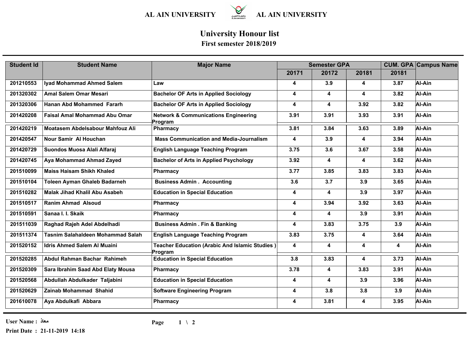

## **University Honour list First semester 2018/2019**

| <b>Student Id</b> | <b>Student Name</b>                      | <b>Major Name</b>                                                | <b>Semester GPA</b>     |       |                         |       | <b>CUM. GPA Campus Name</b> |
|-------------------|------------------------------------------|------------------------------------------------------------------|-------------------------|-------|-------------------------|-------|-----------------------------|
|                   |                                          |                                                                  | 20171                   | 20172 | 20181                   | 20181 |                             |
| 201210553         | Iyad Mohammad Ahmed Salem                | Law                                                              | 4                       | 3.9   | 4                       | 3.87  | Al-Ain                      |
| 201320302         | <b>Amal Salem Omar Mesari</b>            | <b>Bachelor OF Arts in Applied Sociology</b>                     | 4                       | 4     | $\overline{\mathbf{4}}$ | 3.82  | Al-Ain                      |
| 201320306         | <b>Hanan Abd Mohammed Fararh</b>         | <b>Bachelor OF Arts in Applied Sociology</b>                     | 4                       | 4     | 3.92                    | 3.82  | Al-Ain                      |
| 201420208         | <b>Faisal Amal Mohammad Abu Omar</b>     | <b>Network &amp; Communications Engineering</b><br>Program       | 3.91                    | 3.91  | 3.93                    | 3.91  | Al-Ain                      |
| 201420219         | Moatasem Abdelsabour Mahfouz Ali         | Pharmacy                                                         | 3.81                    | 3.84  | 3.63                    | 3.89  | Al-Ain                      |
| 201420547         | Nour Samir Al Houchan                    | <b>Mass Communication and Media-Journalism</b>                   | 4                       | 3.9   | 4                       | 3.94  | Al-Ain                      |
| 201420729         | Suondos Muosa Alali Alfaraj              | <b>English Language Teaching Program</b>                         | 3.75                    | 3.6   | 3.67                    | 3.58  | Al-Ain                      |
| 201420745         | Aya Mohammad Ahmad Zayed                 | <b>Bachelor of Arts in Applied Psychology</b>                    | 3.92                    | 4     | 4                       | 3.62  | Al-Ain                      |
| 201510099         | <b>Maiss Haisam Shikh Khaled</b>         | Pharmacy                                                         | 3.77                    | 3.85  | 3.83                    | 3.83  | Al-Ain                      |
| 201510104         | Toleen Ayman Ghaleb Badarneh             | <b>Business Admin . Accounting</b>                               | 3.6                     | 3.7   | 3.9                     | 3.65  | Al-Ain                      |
| 201510282         | Malak Jihad Khalil Abu Asabeh            | <b>Education in Special Education</b>                            | 4                       | 4     | 3.9                     | 3.97  | Al-Ain                      |
| 201510517         | <b>Ranim Ahmad Alsoud</b>                | <b>Pharmacy</b>                                                  | 4                       | 3.94  | 3.92                    | 3.63  | Al-Ain                      |
| 201510591         | Sanaa I. I. Skaik                        | Pharmacy                                                         | 4                       | 4     | 3.9                     | 3.91  | Al-Ain                      |
| 201511039         | Raghad Rajeh Adel Abdelhadi              | <b>Business Admin . Fin &amp; Banking</b>                        | 4                       | 3.83  | 3.75                    | 3.9   | Al-Ain                      |
| 201511374         | <b>Tasnim Salahaldeen Mohammad Salah</b> | <b>English Language Teaching Program</b>                         | 3.83                    | 3.75  | 4                       | 3.64  | Al-Ain                      |
| 201520152         | <b>Idris Ahmed Salem AI Muaini</b>       | <b>Teacher Education (Arabic And Islamic Studies)</b><br>Program | $\overline{\mathbf{4}}$ | 4     | 4                       | 4     | Al-Ain                      |
| 201520285         | Abdul Rahman Bachar Rahimeh              | <b>Education in Special Education</b>                            | 3.8                     | 3.83  | 4                       | 3.73  | Al-Ain                      |
| 201520309         | Sara Ibrahim Saad Abd Elaty Mousa        | Pharmacy                                                         | 3.78                    | 4     | 3.83                    | 3.91  | Al-Ain                      |
| 201520568         | Abdullah Abdulkader Taljabini            | <b>Education in Special Education</b>                            | 4                       | 4     | 3.9                     | 3.96  | Al-Ain                      |
| 201520629         | <b>Zainab Mohammad Shahid</b>            | <b>Software Engineering Program</b>                              | 4                       | 3.8   | 3.8                     | 3.9   | Al-Ain                      |
| 201610078         | Aya Abdulkafi Abbara                     | Pharmacy                                                         | 4                       | 3.81  | 4                       | 3.95  | Al-Ain                      |

**User Name : معاذ**

**Print Date : 21-11-2019 14:18**